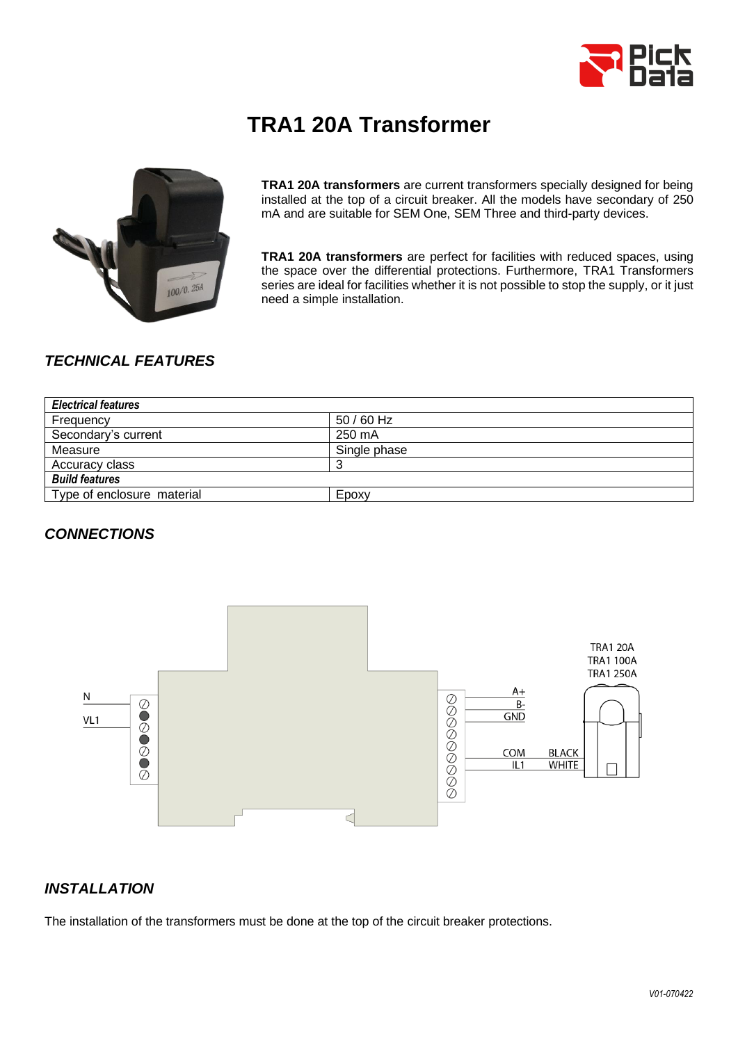

# **TRA1 20A Transformer**



**TRA1 20A transformers** are current transformers specially designed for being installed at the top of a circuit breaker. All the models have secondary of 250 mA and are suitable for SEM One, SEM Three and third-party devices.

**TRA1 20A transformers** are perfect for facilities with reduced spaces, using the space over the differential protections. Furthermore, TRA1 Transformers series are ideal for facilities whether it is not possible to stop the supply, or it just need a simple installation.

### *TECHNICAL FEATURES*

| <b>Electrical features</b> |              |  |  |
|----------------------------|--------------|--|--|
| Frequency                  | $50/60$ Hz   |  |  |
| Secondary's current        | 250 mA       |  |  |
| Measure                    | Single phase |  |  |
| Accuracy class             |              |  |  |
| <b>Build features</b>      |              |  |  |
| Type of enclosure material | Epoxy        |  |  |

#### *CONNECTIONS*



#### *INSTALLATION*

The installation of the transformers must be done at the top of the circuit breaker protections.